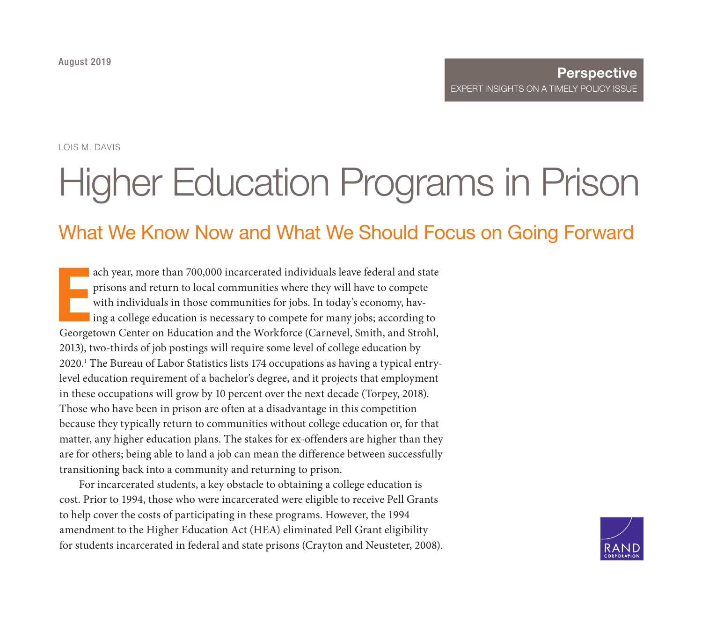LOIS M. DAVIS

# [Higher Education Programs in Prison](https://www.rand.org/pubs/perspectives/PE342.html)

# What We Know Now and What We Should Focus on Going Forward

ach year, more than 700,000 incarcerated individuals leave federal and state<br>prisons and return to local communities where they will have to compete<br>with individuals in those communities for jobs. In today's economy, hav-<br> ach year, more than 700,000 incarcerated individuals leave federal and state prisons and return to local communities where they will have to compete with individuals in those communities for jobs. In today's economy, having a college education is necessary to compete for many jobs; according to 2013), two-thirds of job postings will require some level of college education by 2020.1 The Bureau of Labor Statistics lists 174 occupations as having a typical entrylevel education requirement of a bachelor's degree, and it projects that employment in these occupations will grow by 10 percent over the next decade (Torpey, 2018). Those who have been in prison are often at a disadvantage in this competition because they typically return to communities without college education or, for that matter, any higher education plans. The stakes for ex-offenders are higher than they are for others; being able to land a job can mean the difference between successfully transitioning back into a community and returning to prison.

For incarcerated students, a key obstacle to obtaining a college education is cost. Prior to 1994, those who were incarcerated were eligible to receive Pell Grants to help cover the costs of participating in these programs. However, the 1994 amendment to the Higher Education Act (HEA) eliminated Pell Grant eligibility for students incarcerated in federal and state prisons (Crayton and Neusteter, 2008).

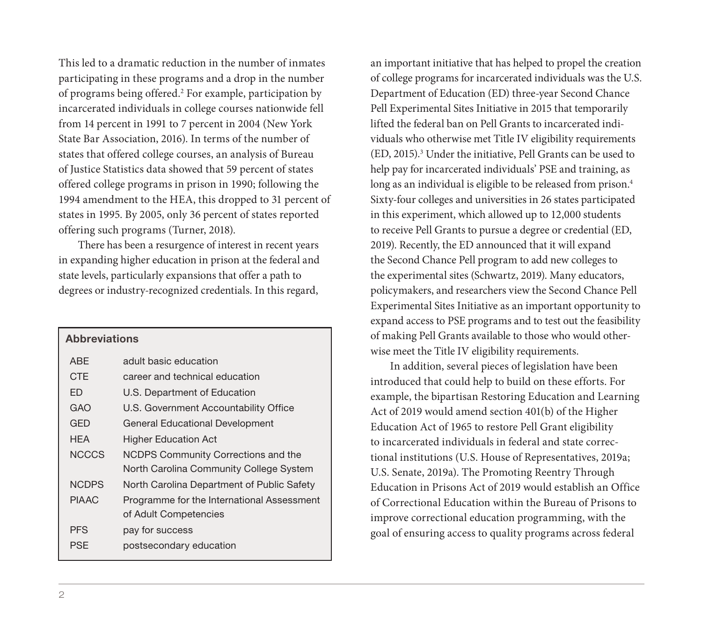This led to a dramatic reduction in the number of inmates participating in these programs and a drop in the number of programs being offered.<sup>2</sup> For example, participation by incarcerated individuals in college courses nationwide fell from 14 percent in 1991 to 7 percent in 2004 (New York State Bar Association, 2016). In terms of the number of states that offered college courses, an analysis of Bureau of Justice Statistics data showed that 59 percent of states offered college programs in prison in 1990; following the 1994 amendment to the HEA, this dropped to 31 percent of states in 1995. By 2005, only 36 percent of states reported offering such programs (Turner, 2018).

There has been a resurgence of interest in recent years in expanding higher education in prison at the federal and state levels, particularly expansions that offer a path to degrees or industry-recognized credentials. In this regard,

| <b>Abbreviations</b> |                                            |
|----------------------|--------------------------------------------|
| ABF                  | adult basic education                      |
| <b>CTF</b>           | career and technical education             |
| FD.                  | U.S. Department of Education               |
| GAO                  | U.S. Government Accountability Office      |
| <b>GED</b>           | General Educational Development            |
| <b>HFA</b>           | Higher Education Act                       |
| <b>NCCCS</b>         | NCDPS Community Corrections and the        |
|                      | North Carolina Community College System    |
| <b>NCDPS</b>         | North Carolina Department of Public Safety |
| <b>PIAAC</b>         | Programme for the International Assessment |
|                      | of Adult Competencies                      |
| <b>PFS</b>           | pay for success                            |
| <b>PSF</b>           | postsecondary education                    |

an important initiative that has helped to propel the creation of college programs for incarcerated individuals was the U.S. Department of Education (ED) three-year Second Chance Pell Experimental Sites Initiative in 2015 that temporarily lifted the federal ban on Pell Grants to incarcerated individuals who otherwise met Title IV eligibility requirements (ED, 2015).3 Under the initiative, Pell Grants can be used to help pay for incarcerated individuals' PSE and training, as long as an individual is eligible to be released from prison.<sup>4</sup> Sixty-four colleges and universities in 26 states participated in this experiment, which allowed up to 12,000 students to receive Pell Grants to pursue a degree or credential (ED, 2019). Recently, the ED announced that it will expand the Second Chance Pell program to add new colleges to the experimental sites (Schwartz, 2019). Many educators, policymakers, and researchers view the Second Chance Pell Experimental Sites Initiative as an important opportunity to expand access to PSE programs and to test out the feasibility of making Pell Grants available to those who would otherwise meet the Title IV eligibility requirements.

In addition, several pieces of legislation have been introduced that could help to build on these efforts. For example, the bipartisan Restoring Education and Learning Act of 2019 would amend section 401(b) of the Higher Education Act of 1965 to restore Pell Grant eligibility to incarcerated individuals in federal and state correctional institutions (U.S. House of Representatives, 2019a; U.S. Senate, 2019a). The Promoting Reentry Through Education in Prisons Act of 2019 would establish an Office of Correctional Education within the Bureau of Prisons to improve correctional education programming, with the goal of ensuring access to quality programs across federal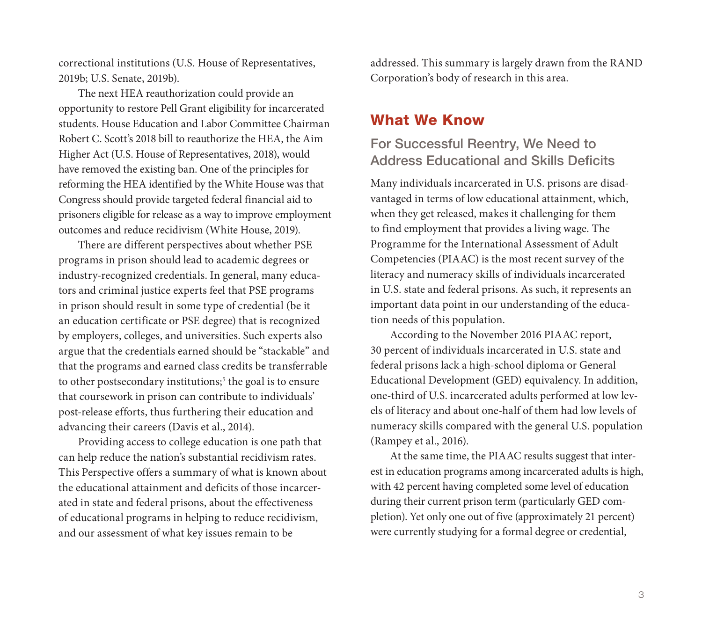correctional institutions (U.S. House of Representatives, 2019b; U.S. Senate, 2019b).

The next HEA reauthorization could provide an opportunity to restore Pell Grant eligibility for incarcerated students. House Education and Labor Committee Chairman Robert C. Scott's 2018 bill to reauthorize the HEA, the Aim Higher Act (U.S. House of Representatives, 2018), would have removed the existing ban. One of the principles for reforming the HEA identified by the White House was that Congress should provide targeted federal financial aid to prisoners eligible for release as a way to improve employment outcomes and reduce recidivism (White House, 2019).

There are different perspectives about whether PSE programs in prison should lead to academic degrees or industry-recognized credentials. In general, many educators and criminal justice experts feel that PSE programs in prison should result in some type of credential (be it an education certificate or PSE degree) that is recognized by employers, colleges, and universities. Such experts also argue that the credentials earned should be "stackable" and that the programs and earned class credits be transferrable to other postsecondary institutions;<sup>5</sup> the goal is to ensure that coursework in prison can contribute to individuals' post-release efforts, thus furthering their education and advancing their careers (Davis et al., 2014).

Providing access to college education is one path that can help reduce the nation's substantial recidivism rates. This Perspective offers a summary of what is known about the educational attainment and deficits of those incarcerated in state and federal prisons, about the effectiveness of educational programs in helping to reduce recidivism, and our assessment of what key issues remain to be

addressed. This summary is largely drawn from the RAND Corporation's body of research in this area.

#### What We Know

#### For Successful Reentry, We Need to Address Educational and Skills Deficits

Many individuals incarcerated in U.S. prisons are disadvantaged in terms of low educational attainment, which, when they get released, makes it challenging for them to find employment that provides a living wage. The Programme for the International Assessment of Adult Competencies (PIAAC) is the most recent survey of the literacy and numeracy skills of individuals incarcerated in U.S. state and federal prisons. As such, it represents an important data point in our understanding of the education needs of this population.

According to the November 2016 PIAAC report, 30 percent of individuals incarcerated in U.S. state and federal prisons lack a high-school diploma or General Educational Development (GED) equivalency. In addition, one-third of U.S. incarcerated adults performed at low levels of literacy and about one-half of them had low levels of numeracy skills compared with the general U.S. population (Rampey et al., 2016).

At the same time, the PIAAC results suggest that interest in education programs among incarcerated adults is high, with 42 percent having completed some level of education during their current prison term (particularly GED completion). Yet only one out of five (approximately 21 percent) were currently studying for a formal degree or credential,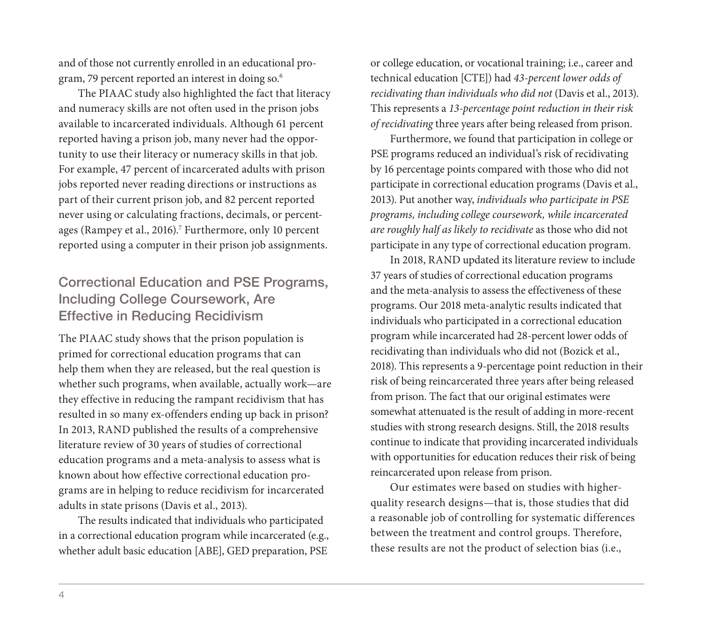and of those not currently enrolled in an educational program, 79 percent reported an interest in doing so.6

The PIAAC study also highlighted the fact that literacy and numeracy skills are not often used in the prison jobs available to incarcerated individuals. Although 61 percent reported having a prison job, many never had the opportunity to use their literacy or numeracy skills in that job. For example, 47 percent of incarcerated adults with prison jobs reported never reading directions or instructions as part of their current prison job, and 82 percent reported never using or calculating fractions, decimals, or percentages (Rampey et al., 2016).<sup>7</sup> Furthermore, only 10 percent reported using a computer in their prison job assignments.

### Correctional Education and PSE Programs, Including College Coursework, Are Effective in Reducing Recidivism

The PIAAC study shows that the prison population is primed for correctional education programs that can help them when they are released, but the real question is whether such programs, when available, actually work—are they effective in reducing the rampant recidivism that has resulted in so many ex-offenders ending up back in prison? In 2013, RAND published the results of a comprehensive literature review of 30 years of studies of correctional education programs and a meta-analysis to assess what is known about how effective correctional education programs are in helping to reduce recidivism for incarcerated adults in state prisons (Davis et al., 2013).

The results indicated that individuals who participated in a correctional education program while incarcerated (e.g., whether adult basic education [ABE], GED preparation, PSE

or college education, or vocational training; i.e., career and technical education [CTE]) had *43-percent lower odds of recidivating than individuals who did not* (Davis et al., 2013). This represents a *13-percentage point reduction in their risk of recidivating* three years after being released from prison.

Furthermore, we found that participation in college or PSE programs reduced an individual's risk of recidivating by 16 percentage points compared with those who did not participate in correctional education programs (Davis et al., 2013). Put another way, *individuals who participate in PSE programs, including college coursework, while incarcerated are roughly half as likely to recidivate* as those who did not participate in any type of correctional education program.

In 2018, RAND updated its literature review to include 37 years of studies of correctional education programs and the meta-analysis to assess the effectiveness of these programs. Our 2018 meta-analytic results indicated that individuals who participated in a correctional education program while incarcerated had 28-percent lower odds of recidivating than individuals who did not (Bozick et al., 2018). This represents a 9-percentage point reduction in their risk of being reincarcerated three years after being released from prison. The fact that our original estimates were somewhat attenuated is the result of adding in more-recent studies with strong research designs. Still, the 2018 results continue to indicate that providing incarcerated individuals with opportunities for education reduces their risk of being reincarcerated upon release from prison.

Our estimates were based on studies with higherquality research designs—that is, those studies that did a reasonable job of controlling for systematic differences between the treatment and control groups. Therefore, these results are not the product of selection bias (i.e.,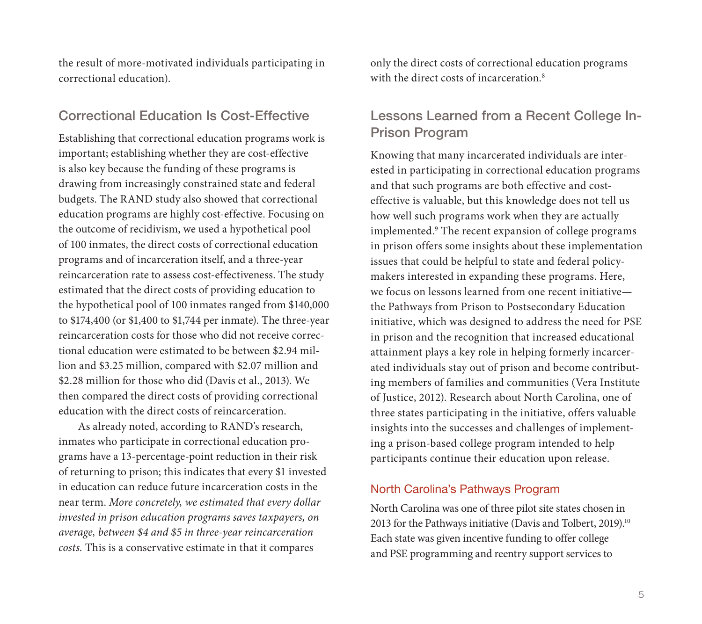the result of more-motivated individuals participating in correctional education).

#### Correctional Education Is Cost-Effective

Establishing that correctional education programs work is important; establishing whether they are cost-effective is also key because the funding of these programs is drawing from increasingly constrained state and federal budgets. The RAND study also showed that correctional education programs are highly cost-effective. Focusing on the outcome of recidivism, we used a hypothetical pool of 100 inmates, the direct costs of correctional education programs and of incarceration itself, and a three-year reincarceration rate to assess cost-effectiveness. The study estimated that the direct costs of providing education to the hypothetical pool of 100 inmates ranged from \$140,000 to \$174,400 (or \$1,400 to \$1,744 per inmate). The three-year reincarceration costs for those who did not receive correctional education were estimated to be between \$2.94 million and \$3.25 million, compared with \$2.07 million and \$2.28 million for those who did (Davis et al., 2013). We then compared the direct costs of providing correctional education with the direct costs of reincarceration.

As already noted, according to RAND's research, inmates who participate in correctional education programs have a 13-percentage-point reduction in their risk of returning to prison; this indicates that every \$1 invested in education can reduce future incarceration costs in the near term. *More concretely, we estimated that every dollar invested in prison education programs saves taxpayers, on average, between \$4 and \$5 in three-year reincarceration costs.* This is a conservative estimate in that it compares

only the direct costs of correctional education programs with the direct costs of incarceration.<sup>8</sup>

#### Lessons Learned from a Recent College In-Prison Program

Knowing that many incarcerated individuals are interested in participating in correctional education programs and that such programs are both effective and costeffective is valuable, but this knowledge does not tell us how well such programs work when they are actually implemented.9 The recent expansion of college programs in prison offers some insights about these implementation issues that could be helpful to state and federal policymakers interested in expanding these programs. Here, we focus on lessons learned from one recent initiative the Pathways from Prison to Postsecondary Education initiative, which was designed to address the need for PSE in prison and the recognition that increased educational attainment plays a key role in helping formerly incarcerated individuals stay out of prison and become contributing members of families and communities (Vera Institute of Justice, 2012). Research about North Carolina, one of three states participating in the initiative, offers valuable insights into the successes and challenges of implementing a prison-based college program intended to help participants continue their education upon release.

#### North Carolina's Pathways Program

North Carolina was one of three pilot site states chosen in 2013 for the Pathways initiative (Davis and Tolbert, 2019).<sup>10</sup> Each state was given incentive funding to offer college and PSE programming and reentry support services to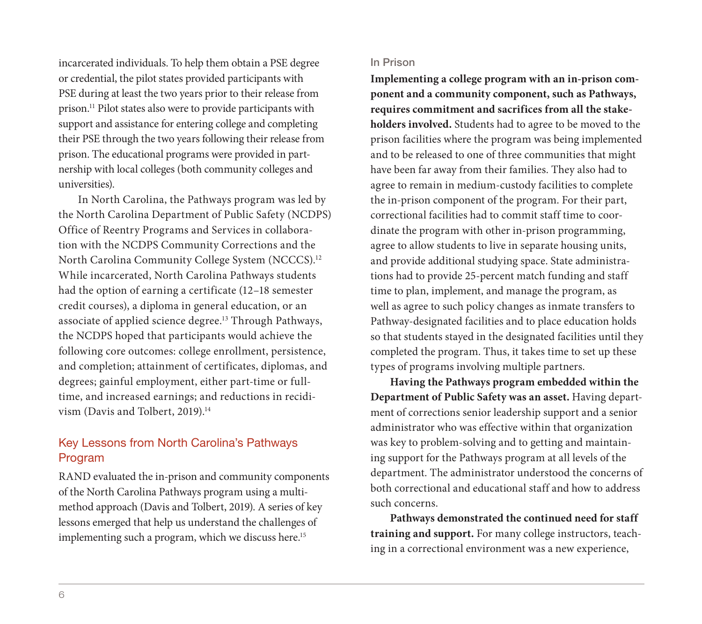incarcerated individuals. To help them obtain a PSE degree or credential, the pilot states provided participants with PSE during at least the two years prior to their release from prison.11 Pilot states also were to provide participants with support and assistance for entering college and completing their PSE through the two years following their release from prison. The educational programs were provided in partnership with local colleges (both community colleges and universities).

In North Carolina, the Pathways program was led by the North Carolina Department of Public Safety (NCDPS) Office of Reentry Programs and Services in collaboration with the NCDPS Community Corrections and the North Carolina Community College System (NCCCS).<sup>12</sup> While incarcerated, North Carolina Pathways students had the option of earning a certificate (12–18 semester credit courses), a diploma in general education, or an associate of applied science degree.13 Through Pathways, the NCDPS hoped that participants would achieve the following core outcomes: college enrollment, persistence, and completion; attainment of certificates, diplomas, and degrees; gainful employment, either part-time or fulltime, and increased earnings; and reductions in recidivism (Davis and Tolbert, 2019).<sup>14</sup>

#### Key Lessons from North Carolina's Pathways Program

RAND evaluated the in-prison and community components of the North Carolina Pathways program using a multimethod approach (Davis and Tolbert, 2019). A series of key lessons emerged that help us understand the challenges of implementing such a program, which we discuss here.<sup>15</sup>

#### In Prison

**Implementing a college program with an in-prison component and a community component, such as Pathways, requires commitment and sacrifices from all the stakeholders involved.** Students had to agree to be moved to the prison facilities where the program was being implemented and to be released to one of three communities that might have been far away from their families. They also had to agree to remain in medium-custody facilities to complete the in-prison component of the program. For their part, correctional facilities had to commit staff time to coordinate the program with other in-prison programming, agree to allow students to live in separate housing units, and provide additional studying space. State administrations had to provide 25-percent match funding and staff time to plan, implement, and manage the program, as well as agree to such policy changes as inmate transfers to Pathway-designated facilities and to place education holds so that students stayed in the designated facilities until they completed the program. Thus, it takes time to set up these types of programs involving multiple partners.

**Having the Pathways program embedded within the Department of Public Safety was an asset.** Having department of corrections senior leadership support and a senior administrator who was effective within that organization was key to problem-solving and to getting and maintaining support for the Pathways program at all levels of the department. The administrator understood the concerns of both correctional and educational staff and how to address such concerns.

**Pathways demonstrated the continued need for staff training and support.** For many college instructors, teaching in a correctional environment was a new experience,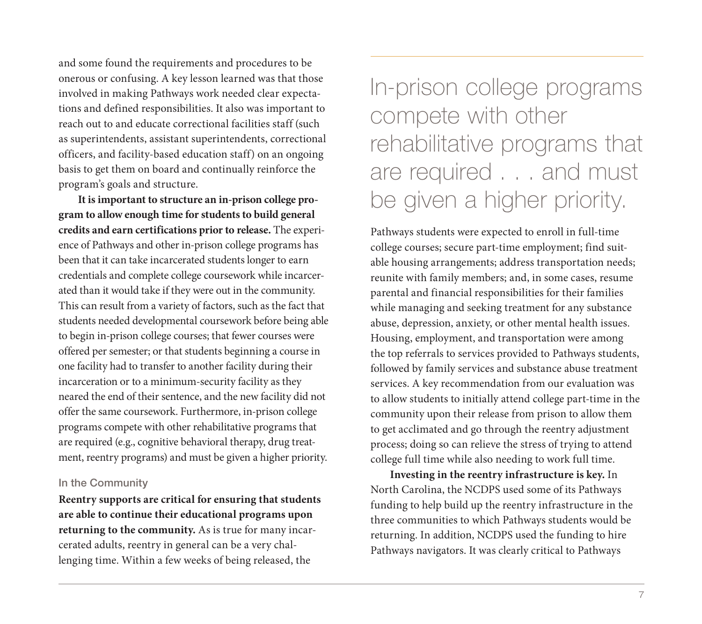and some found the requirements and procedures to be onerous or confusing. A key lesson learned was that those involved in making Pathways work needed clear expectations and defined responsibilities. It also was important to reach out to and educate correctional facilities staff (such as superintendents, assistant superintendents, correctional officers, and facility-based education staff) on an ongoing basis to get them on board and continually reinforce the program's goals and structure.

**It is important to structure an in-prison college program to allow enough time for students to build general credits and earn certifications prior to release.** The experience of Pathways and other in-prison college programs has been that it can take incarcerated students longer to earn credentials and complete college coursework while incarcerated than it would take if they were out in the community. This can result from a variety of factors, such as the fact that students needed developmental coursework before being able to begin in-prison college courses; that fewer courses were offered per semester; or that students beginning a course in one facility had to transfer to another facility during their incarceration or to a minimum-security facility as they neared the end of their sentence, and the new facility did not offer the same coursework. Furthermore, in-prison college programs compete with other rehabilitative programs that are required (e.g., cognitive behavioral therapy, drug treatment, reentry programs) and must be given a higher priority.

#### In the Community

**Reentry supports are critical for ensuring that students are able to continue their educational programs upon returning to the community.** As is true for many incarcerated adults, reentry in general can be a very challenging time. Within a few weeks of being released, the

# In-prison college programs compete with other rehabilitative programs that are required . . . and must be given a higher priority.

Pathways students were expected to enroll in full-time college courses; secure part-time employment; find suitable housing arrangements; address transportation needs; reunite with family members; and, in some cases, resume parental and financial responsibilities for their families while managing and seeking treatment for any substance abuse, depression, anxiety, or other mental health issues. Housing, employment, and transportation were among the top referrals to services provided to Pathways students, followed by family services and substance abuse treatment services. A key recommendation from our evaluation was to allow students to initially attend college part-time in the community upon their release from prison to allow them to get acclimated and go through the reentry adjustment process; doing so can relieve the stress of trying to attend college full time while also needing to work full time.

**Investing in the reentry infrastructure is key.** In North Carolina, the NCDPS used some of its Pathways funding to help build up the reentry infrastructure in the three communities to which Pathways students would be returning. In addition, NCDPS used the funding to hire Pathways navigators. It was clearly critical to Pathways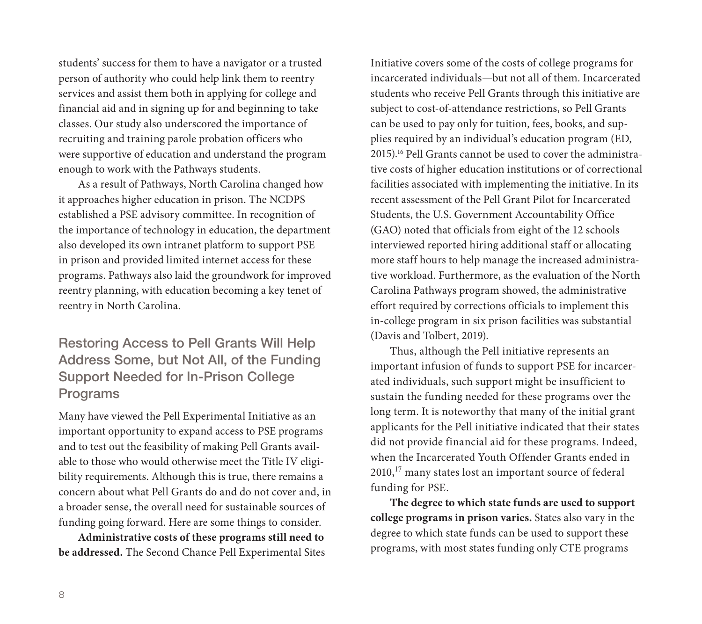students' success for them to have a navigator or a trusted person of authority who could help link them to reentry services and assist them both in applying for college and financial aid and in signing up for and beginning to take classes. Our study also underscored the importance of recruiting and training parole probation officers who were supportive of education and understand the program enough to work with the Pathways students.

As a result of Pathways, North Carolina changed how it approaches higher education in prison. The NCDPS established a PSE advisory committee. In recognition of the importance of technology in education, the department also developed its own intranet platform to support PSE in prison and provided limited internet access for these programs. Pathways also laid the groundwork for improved reentry planning, with education becoming a key tenet of reentry in North Carolina.

# Restoring Access to Pell Grants Will Help Address Some, but Not All, of the Funding Support Needed for In-Prison College Programs

Many have viewed the Pell Experimental Initiative as an important opportunity to expand access to PSE programs and to test out the feasibility of making Pell Grants available to those who would otherwise meet the Title IV eligibility requirements. Although this is true, there remains a concern about what Pell Grants do and do not cover and, in a broader sense, the overall need for sustainable sources of funding going forward. Here are some things to consider.

**Administrative costs of these programs still need to be addressed.** The Second Chance Pell Experimental Sites

Initiative covers some of the costs of college programs for incarcerated individuals—but not all of them. Incarcerated students who receive Pell Grants through this initiative are subject to cost-of-attendance restrictions, so Pell Grants can be used to pay only for tuition, fees, books, and supplies required by an individual's education program (ED, 2015).16 Pell Grants cannot be used to cover the administrative costs of higher education institutions or of correctional facilities associated with implementing the initiative. In its recent assessment of the Pell Grant Pilot for Incarcerated Students, the U.S. Government Accountability Office (GAO) noted that officials from eight of the 12 schools interviewed reported hiring additional staff or allocating more staff hours to help manage the increased administrative workload. Furthermore, as the evaluation of the North Carolina Pathways program showed, the administrative effort required by corrections officials to implement this in-college program in six prison facilities was substantial (Davis and Tolbert, 2019).

Thus, although the Pell initiative represents an important infusion of funds to support PSE for incarcerated individuals, such support might be insufficient to sustain the funding needed for these programs over the long term. It is noteworthy that many of the initial grant applicants for the Pell initiative indicated that their states did not provide financial aid for these programs. Indeed, when the Incarcerated Youth Offender Grants ended in 2010,<sup>17</sup> many states lost an important source of federal funding for PSE.

**The degree to which state funds are used to support college programs in prison varies.** States also vary in the degree to which state funds can be used to support these programs, with most states funding only CTE programs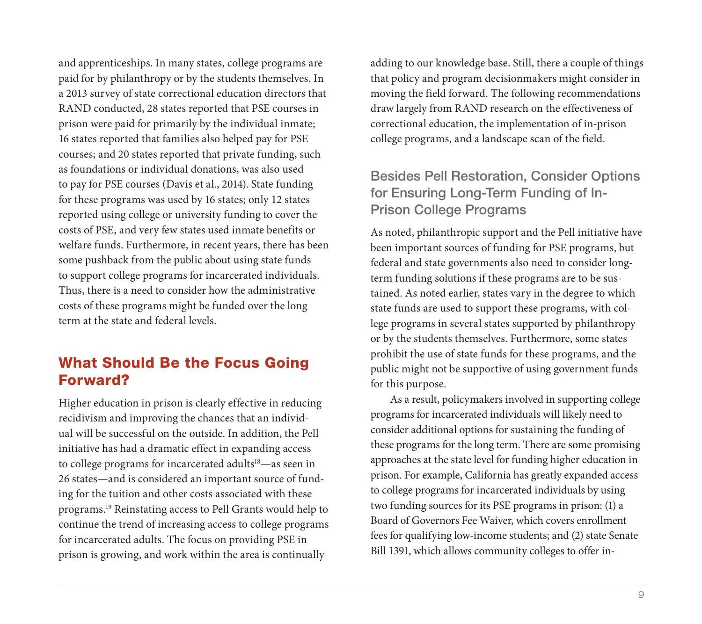and apprenticeships. In many states, college programs are paid for by philanthropy or by the students themselves. In a 2013 survey of state correctional education directors that RAND conducted, 28 states reported that PSE courses in prison were paid for primarily by the individual inmate; 16 states reported that families also helped pay for PSE courses; and 20 states reported that private funding, such as foundations or individual donations, was also used to pay for PSE courses (Davis et al., 2014). State funding for these programs was used by 16 states; only 12 states reported using college or university funding to cover the costs of PSE, and very few states used inmate benefits or welfare funds. Furthermore, in recent years, there has been some pushback from the public about using state funds to support college programs for incarcerated individuals. Thus, there is a need to consider how the administrative costs of these programs might be funded over the long term at the state and federal levels.

# What Should Be the Focus Going Forward?

Higher education in prison is clearly effective in reducing recidivism and improving the chances that an individual will be successful on the outside. In addition, the Pell initiative has had a dramatic effect in expanding access to college programs for incarcerated adults<sup>18</sup>—as seen in 26 states—and is considered an important source of funding for the tuition and other costs associated with these programs.19 Reinstating access to Pell Grants would help to continue the trend of increasing access to college programs for incarcerated adults. The focus on providing PSE in prison is growing, and work within the area is continually

adding to our knowledge base. Still, there a couple of things that policy and program decisionmakers might consider in moving the field forward. The following recommendations draw largely from RAND research on the effectiveness of correctional education, the implementation of in-prison college programs, and a landscape scan of the field.

### Besides Pell Restoration, Consider Options for Ensuring Long-Term Funding of In-Prison College Programs

As noted, philanthropic support and the Pell initiative have been important sources of funding for PSE programs, but federal and state governments also need to consider longterm funding solutions if these programs are to be sustained. As noted earlier, states vary in the degree to which state funds are used to support these programs, with college programs in several states supported by philanthropy or by the students themselves. Furthermore, some states prohibit the use of state funds for these programs, and the public might not be supportive of using government funds for this purpose.

As a result, policymakers involved in supporting college programs for incarcerated individuals will likely need to consider additional options for sustaining the funding of these programs for the long term. There are some promising approaches at the state level for funding higher education in prison. For example, California has greatly expanded access to college programs for incarcerated individuals by using two funding sources for its PSE programs in prison: (1) a Board of Governors Fee Waiver, which covers enrollment fees for qualifying low-income students; and (2) state Senate Bill 1391, which allows community colleges to offer in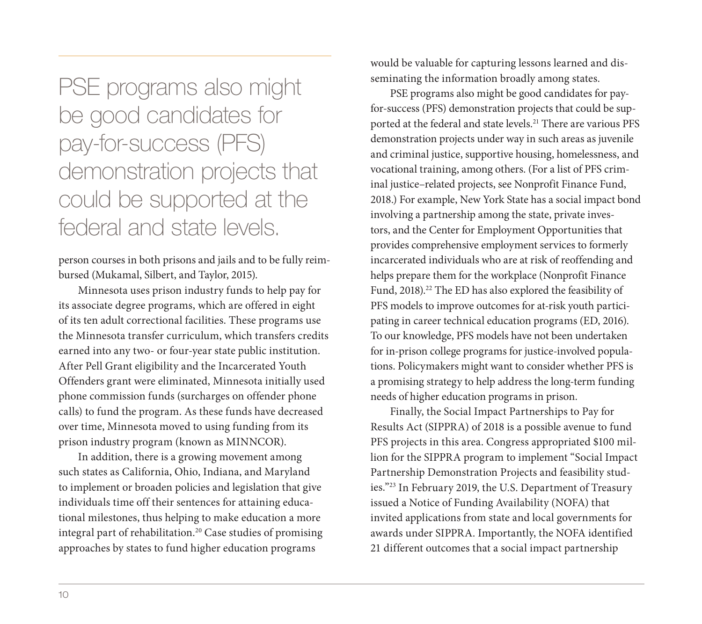PSE programs also might be good candidates for pay-for-success (PFS) demonstration projects that could be supported at the federal and state levels.

person courses in both prisons and jails and to be fully reimbursed (Mukamal, Silbert, and Taylor, 2015).

Minnesota uses prison industry funds to help pay for its associate degree programs, which are offered in eight of its ten adult correctional facilities. These programs use the Minnesota transfer curriculum, which transfers credits earned into any two- or four-year state public institution. After Pell Grant eligibility and the Incarcerated Youth Offenders grant were eliminated, Minnesota initially used phone commission funds (surcharges on offender phone calls) to fund the program. As these funds have decreased over time, Minnesota moved to using funding from its prison industry program (known as MINNCOR).

In addition, there is a growing movement among such states as California, Ohio, Indiana, and Maryland to implement or broaden policies and legislation that give individuals time off their sentences for attaining educational milestones, thus helping to make education a more integral part of rehabilitation.20 Case studies of promising approaches by states to fund higher education programs

would be valuable for capturing lessons learned and disseminating the information broadly among states.

PSE programs also might be good candidates for payfor-success (PFS) demonstration projects that could be supported at the federal and state levels.<sup>21</sup> There are various PFS demonstration projects under way in such areas as juvenile and criminal justice, supportive housing, homelessness, and vocational training, among others. (For a list of PFS criminal justice–related projects, see Nonprofit Finance Fund, 2018.) For example, New York State has a social impact bond involving a partnership among the state, private investors, and the Center for Employment Opportunities that provides comprehensive employment services to formerly incarcerated individuals who are at risk of reoffending and helps prepare them for the workplace (Nonprofit Finance Fund, 2018).<sup>22</sup> The ED has also explored the feasibility of PFS models to improve outcomes for at-risk youth participating in career technical education programs (ED, 2016). To our knowledge, PFS models have not been undertaken for in-prison college programs for justice-involved populations. Policymakers might want to consider whether PFS is a promising strategy to help address the long-term funding needs of higher education programs in prison.

Finally, the Social Impact Partnerships to Pay for Results Act (SIPPRA) of 2018 is a possible avenue to fund PFS projects in this area. Congress appropriated \$100 million for the SIPPRA program to implement "Social Impact Partnership Demonstration Projects and feasibility studies."23 In February 2019, the U.S. Department of Treasury issued a Notice of Funding Availability (NOFA) that invited applications from state and local governments for awards under SIPPRA. Importantly, the NOFA identified 21 different outcomes that a social impact partnership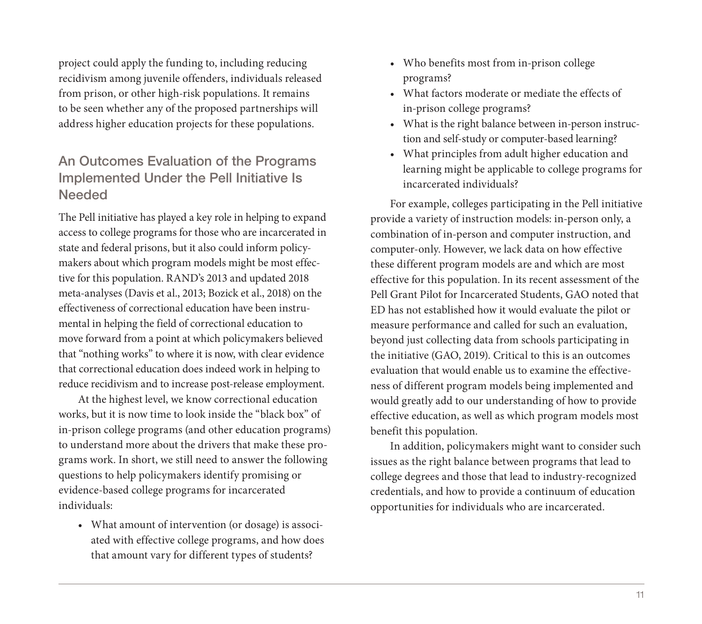project could apply the funding to, including reducing recidivism among juvenile offenders, individuals released from prison, or other high-risk populations. It remains to be seen whether any of the proposed partnerships will address higher education projects for these populations.

# An Outcomes Evaluation of the Programs Implemented Under the Pell Initiative Is Needed

The Pell initiative has played a key role in helping to expand access to college programs for those who are incarcerated in state and federal prisons, but it also could inform policymakers about which program models might be most effective for this population. RAND's 2013 and updated 2018 meta-analyses (Davis et al., 2013; Bozick et al., 2018) on the effectiveness of correctional education have been instrumental in helping the field of correctional education to move forward from a point at which policymakers believed that "nothing works" to where it is now, with clear evidence that correctional education does indeed work in helping to reduce recidivism and to increase post-release employment.

At the highest level, we know correctional education works, but it is now time to look inside the "black box" of in-prison college programs (and other education programs) to understand more about the drivers that make these programs work. In short, we still need to answer the following questions to help policymakers identify promising or evidence-based college programs for incarcerated individuals:

• What amount of intervention (or dosage) is associated with effective college programs, and how does that amount vary for different types of students?

- Who benefits most from in-prison college programs?
- What factors moderate or mediate the effects of in-prison college programs?
- What is the right balance between in-person instruction and self-study or computer-based learning?
- What principles from adult higher education and learning might be applicable to college programs for incarcerated individuals?

For example, colleges participating in the Pell initiative provide a variety of instruction models: in-person only, a combination of in-person and computer instruction, and computer-only. However, we lack data on how effective these different program models are and which are most effective for this population. In its recent assessment of the Pell Grant Pilot for Incarcerated Students, GAO noted that ED has not established how it would evaluate the pilot or measure performance and called for such an evaluation, beyond just collecting data from schools participating in the initiative (GAO, 2019). Critical to this is an outcomes evaluation that would enable us to examine the effectiveness of different program models being implemented and would greatly add to our understanding of how to provide effective education, as well as which program models most benefit this population.

In addition, policymakers might want to consider such issues as the right balance between programs that lead to college degrees and those that lead to industry-recognized credentials, and how to provide a continuum of education opportunities for individuals who are incarcerated.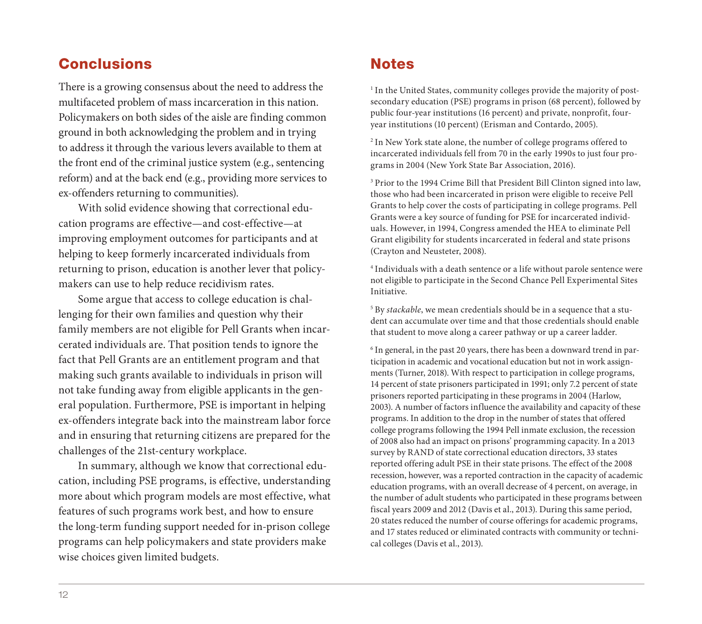# Conclusions

There is a growing consensus about the need to address the multifaceted problem of mass incarceration in this nation. Policymakers on both sides of the aisle are finding common ground in both acknowledging the problem and in trying to address it through the various levers available to them at the front end of the criminal justice system (e.g., sentencing reform) and at the back end (e.g., providing more services to ex-offenders returning to communities).

With solid evidence showing that correctional education programs are effective—and cost-effective—at improving employment outcomes for participants and at helping to keep formerly incarcerated individuals from returning to prison, education is another lever that policymakers can use to help reduce recidivism rates.

Some argue that access to college education is challenging for their own families and question why their family members are not eligible for Pell Grants when incarcerated individuals are. That position tends to ignore the fact that Pell Grants are an entitlement program and that making such grants available to individuals in prison will not take funding away from eligible applicants in the general population. Furthermore, PSE is important in helping ex-offenders integrate back into the mainstream labor force and in ensuring that returning citizens are prepared for the challenges of the 21st-century workplace.

In summary, although we know that correctional education, including PSE programs, is effective, understanding more about which program models are most effective, what features of such programs work best, and how to ensure the long-term funding support needed for in-prison college programs can help policymakers and state providers make wise choices given limited budgets.

### **Notes**

<sup>1</sup> In the United States, community colleges provide the majority of postsecondary education (PSE) programs in prison (68 percent), followed by public four-year institutions (16 percent) and private, nonprofit, fouryear institutions (10 percent) (Erisman and Contardo, 2005).

2 In New York state alone, the number of college programs offered to incarcerated individuals fell from 70 in the early 1990s to just four programs in 2004 (New York State Bar Association, 2016).

<sup>3</sup> Prior to the 1994 Crime Bill that President Bill Clinton signed into law, those who had been incarcerated in prison were eligible to receive Pell Grants to help cover the costs of participating in college programs. Pell Grants were a key source of funding for PSE for incarcerated individuals. However, in 1994, Congress amended the HEA to eliminate Pell Grant eligibility for students incarcerated in federal and state prisons (Crayton and Neusteter, 2008).

<sup>4</sup> Individuals with a death sentence or a life without parole sentence were not eligible to participate in the Second Chance Pell Experimental Sites Initiative.

<sup>5</sup> By *stackable*, we mean credentials should be in a sequence that a student can accumulate over time and that those credentials should enable that student to move along a career pathway or up a career ladder.

<sup>6</sup> In general, in the past 20 years, there has been a downward trend in participation in academic and vocational education but not in work assignments (Turner, 2018). With respect to participation in college programs, 14 percent of state prisoners participated in 1991; only 7.2 percent of state prisoners reported participating in these programs in 2004 (Harlow, 2003). A number of factors influence the availability and capacity of these programs. In addition to the drop in the number of states that offered college programs following the 1994 Pell inmate exclusion, the recession of 2008 also had an impact on prisons' programming capacity. In a 2013 survey by RAND of state correctional education directors, 33 states reported offering adult PSE in their state prisons. The effect of the 2008 recession, however, was a reported contraction in the capacity of academic education programs, with an overall decrease of 4 percent, on average, in the number of adult students who participated in these programs between fiscal years 2009 and 2012 (Davis et al., 2013). During this same period, 20 states reduced the number of course offerings for academic programs, and 17 states reduced or eliminated contracts with community or technical colleges (Davis et al., 2013).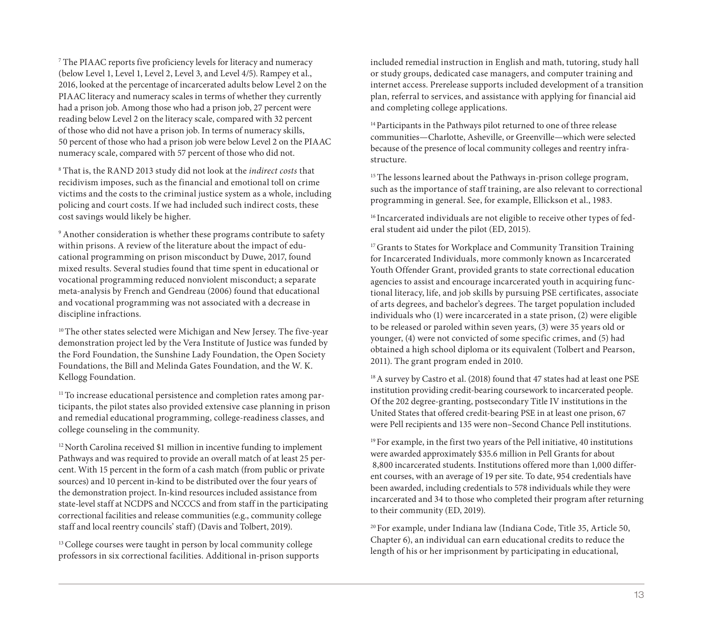<sup>7</sup> The PIAAC reports five proficiency levels for literacy and numeracy (below Level 1, Level 1, Level 2, Level 3, and Level 4/5). Rampey et al., 2016, looked at the percentage of incarcerated adults below Level 2 on the PIAAC literacy and numeracy scales in terms of whether they currently had a prison job. Among those who had a prison job, 27 percent were reading below Level 2 on the literacy scale, compared with 32 percent of those who did not have a prison job. In terms of numeracy skills, 50 percent of those who had a prison job were below Level 2 on the PIAAC numeracy scale, compared with 57 percent of those who did not.

<sup>8</sup> That is, the RAND 2013 study did not look at the *indirect costs* that recidivism imposes, such as the financial and emotional toll on crime victims and the costs to the criminal justice system as a whole, including policing and court costs. If we had included such indirect costs, these cost savings would likely be higher.

<sup>9</sup> Another consideration is whether these programs contribute to safety within prisons. A review of the literature about the impact of educational programming on prison misconduct by Duwe, 2017, found mixed results. Several studies found that time spent in educational or vocational programming reduced nonviolent misconduct; a separate meta-analysis by French and Gendreau (2006) found that educational and vocational programming was not associated with a decrease in discipline infractions.

<sup>10</sup> The other states selected were Michigan and New Jersey. The five-year demonstration project led by the Vera Institute of Justice was funded by the Ford Foundation, the Sunshine Lady Foundation, the Open Society Foundations, the Bill and Melinda Gates Foundation, and the W. K. Kellogg Foundation.

<sup>11</sup> To increase educational persistence and completion rates among participants, the pilot states also provided extensive case planning in prison and remedial educational programming, college-readiness classes, and college counseling in the community.

<sup>12</sup> North Carolina received \$1 million in incentive funding to implement Pathways and was required to provide an overall match of at least 25 percent. With 15 percent in the form of a cash match (from public or private sources) and 10 percent in-kind to be distributed over the four years of the demonstration project. In-kind resources included assistance from state-level staff at NCDPS and NCCCS and from staff in the participating correctional facilities and release communities (e.g., community college staff and local reentry councils' staff) (Davis and Tolbert, 2019).

<sup>13</sup> College courses were taught in person by local community college professors in six correctional facilities. Additional in-prison supports included remedial instruction in English and math, tutoring, study hall or study groups, dedicated case managers, and computer training and internet access. Prerelease supports included development of a transition plan, referral to services, and assistance with applying for financial aid and completing college applications.

<sup>14</sup> Participants in the Pathways pilot returned to one of three release communities—Charlotte, Asheville, or Greenville—which were selected because of the presence of local community colleges and reentry infrastructure.

<sup>15</sup> The lessons learned about the Pathways in-prison college program, such as the importance of staff training, are also relevant to correctional programming in general. See, for example, Ellickson et al., 1983.

<sup>16</sup> Incarcerated individuals are not eligible to receive other types of federal student aid under the pilot (ED, 2015).

<sup>17</sup> Grants to States for Workplace and Community Transition Training for Incarcerated Individuals, more commonly known as Incarcerated Youth Offender Grant, provided grants to state correctional education agencies to assist and encourage incarcerated youth in acquiring functional literacy, life, and job skills by pursuing PSE certificates, associate of arts degrees, and bachelor's degrees. The target population included individuals who (1) were incarcerated in a state prison, (2) were eligible to be released or paroled within seven years, (3) were 35 years old or younger, (4) were not convicted of some specific crimes, and (5) had obtained a high school diploma or its equivalent (Tolbert and Pearson, 2011). The grant program ended in 2010.

18 A survey by Castro et al. (2018) found that 47 states had at least one PSE institution providing credit-bearing coursework to incarcerated people. Of the 202 degree-granting, postsecondary Title IV institutions in the United States that offered credit-bearing PSE in at least one prison, 67 were Pell recipients and 135 were non–Second Chance Pell institutions.

<sup>19</sup> For example, in the first two years of the Pell initiative, 40 institutions were awarded approximately \$35.6 million in Pell Grants for about 8,800 incarcerated students. Institutions offered more than 1,000 different courses, with an average of 19 per site. To date, 954 credentials have been awarded, including credentials to 578 individuals while they were incarcerated and 34 to those who completed their program after returning to their community (ED, 2019).

20 For example, under Indiana law (Indiana Code, Title 35, Article 50, Chapter 6), an individual can earn educational credits to reduce the length of his or her imprisonment by participating in educational,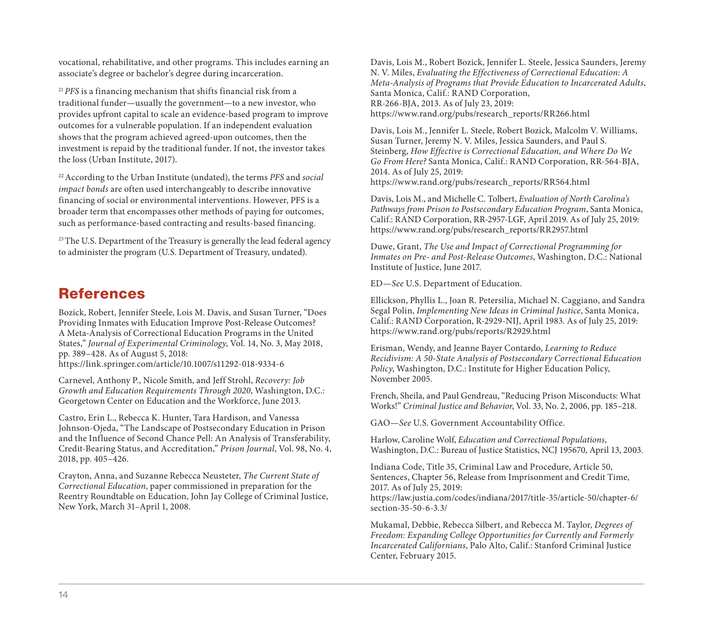vocational, rehabilitative, and other programs. This includes earning an associate's degree or bachelor's degree during incarceration.

<sup>21</sup>*PFS* is a financing mechanism that shifts financial risk from a traditional funder—usually the government—to a new investor, who provides upfront capital to scale an evidence-based program to improve outcomes for a vulnerable population. If an independent evaluation shows that the program achieved agreed-upon outcomes, then the investment is repaid by the traditional funder. If not, the investor takes the loss (Urban Institute, 2017).

22 According to the Urban Institute (undated), the terms *PFS* and *social impact bonds* are often used interchangeably to describe innovative financing of social or environmental interventions. However, PFS is a broader term that encompasses other methods of paying for outcomes, such as performance-based contracting and results-based financing.

<sup>23</sup> The U.S. Department of the Treasury is generally the lead federal agency to administer the program (U.S. Department of Treasury, undated).

### References

Bozick, Robert, Jennifer Steele, Lois M. Davis, and Susan Turner, "Does Providing Inmates with Education Improve Post-Release Outcomes? A Meta-Analysis of Correctional Education Programs in the United States," *Journal of Experimental Criminology*, Vol. 14, No. 3, May 2018, pp. 389–428. As of August 5, 2018:

<https://link.springer.com/article/10.1007/s11292-018-9334-6>

Carnevel, Anthony P., Nicole Smith, and Jeff Strohl, *Recovery: Job Growth and Education Requirements Through 2020*, Washington, D.C.: Georgetown Center on Education and the Workforce, June 2013.

Castro, Erin L., Rebecca K. Hunter, Tara Hardison, and Vanessa Johnson-Ojeda, "The Landscape of Postsecondary Education in Prison and the Influence of Second Chance Pell: An Analysis of Transferability, Credit-Bearing Status, and Accreditation," *Prison Journal*, Vol. 98, No. 4, 2018, pp. 405–426.

Crayton, Anna, and Suzanne Rebecca Neusteter, *The Current State of Correctional Education*, paper commissioned in preparation for the Reentry Roundtable on Education, John Jay College of Criminal Justice, New York, March 31–April 1, 2008.

Davis, Lois M., Robert Bozick, Jennifer L. Steele, Jessica Saunders, Jeremy N. V. Miles, *Evaluating the Effectiveness of Correctional Education: A Meta-Analysis of Programs that Provide Education to Incarcerated Adults*, Santa Monica, Calif.: RAND Corporation, RR-266-BJA, 2013. As of July 23, 2019: [https://www.rand.org/pubs/research\\_reports/RR266.html](https://www.rand.org/pubs/research_reports/RR266.html)

Davis, Lois M., Jennifer L. Steele, Robert Bozick, Malcolm V. Williams, Susan Turner, Jeremy N. V. Miles, Jessica Saunders, and Paul S. Steinberg, *How Effective is Correctional Education, and Where Do We Go From Here?* Santa Monica, Calif.: RAND Corporation, RR-564-BJA, 2014. As of July 25, 2019:

[https://www.rand.org/pubs/research\\_reports/RR564.html](https://www.rand.org/pubs/research_reports/RR564.html)

Davis, Lois M., and Michelle C. Tolbert, *Evaluation of North Carolina's Pathways from Prison to Postsecondary Education Program*, Santa Monica, Calif.: RAND Corporation, RR-2957-LGF, April 2019. As of July 25, 2019: [https://www.rand.org/pubs/research\\_reports/RR2957.html](https://www.rand.org/pubs/research_reports/RR2957.html)

Duwe, Grant, *The Use and Impact of Correctional Programming for Inmates on Pre- and Post-Release Outcomes*, Washington, D.C.: National Institute of Justice, June 2017.

ED—*See* U.S. Department of Education.

Ellickson, Phyllis L., Joan R. Petersilia, Michael N. Caggiano, and Sandra Segal Polin, *Implementing New Ideas in Criminal Justice*, Santa Monica, Calif.: RAND Corporation, R-2929-NIJ, April 1983. As of July 25, 2019: <https://www.rand.org/pubs/reports/R2929.html>

Erisman, Wendy, and Jeanne Bayer Contardo, *Learning to Reduce Recidivism: A 50-State Analysis of Postsecondary Correctional Education Policy*, Washington, D.C.: Institute for Higher Education Policy, November 2005.

French, Sheila, and Paul Gendreau, "Reducing Prison Misconducts: What Works!" *Criminal Justice and Behavior*, Vol. 33, No. 2, 2006, pp. 185–218.

GAO—*See* U.S. Government Accountability Office.

Harlow, Caroline Wolf, *Education and Correctional Populations*, Washington, D.C.: Bureau of Justice Statistics, NCJ 195670, April 13, 2003.

Indiana Code, Title 35, Criminal Law and Procedure, Article 50, Sentences, Chapter 56, Release from Imprisonment and Credit Time, 2017. As of July 25, 2019:

[https://law.justia.com/codes/indiana/2017/title-35/article-50/chapter-6/](https://law.justia.com/codes/indiana/2017/title-35/article-50/chapter-6/section-35-50-6-3.3/) section-35-50-6-3.3/

Mukamal, Debbie, Rebecca Silbert, and Rebecca M. Taylor, *Degrees of Freedom: Expanding College Opportunities for Currently and Formerly Incarcerated Californians*, Palo Alto, Calif.: Stanford Criminal Justice Center, February 2015.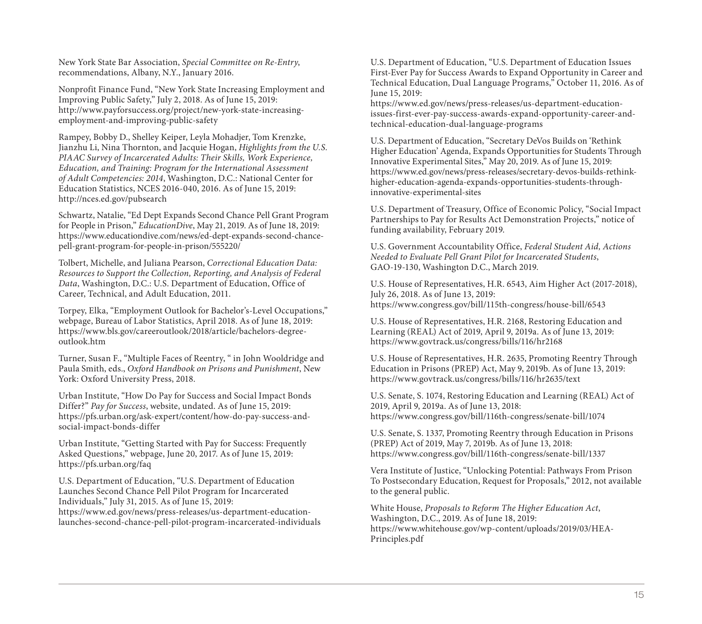New York State Bar Association, *Special Committee on Re-Entry*, recommendations, Albany, N.Y., January 2016.

Nonprofit Finance Fund, "New York State Increasing Employment and Improving Public Safety," July 2, 2018. As of June 15, 2019: [http://www.payforsuccess.org/project/new-york-state-increasing](http://www.payforsuccess.org/project/new-york-state-increasing-employment-and-improving-public-safety)employment-and-improving-public-safety

Rampey, Bobby D., Shelley Keiper, Leyla Mohadjer, Tom Krenzke, Jianzhu Li, Nina Thornton, and Jacquie Hogan, *Highlights from the U.S. PIAAC Survey of Incarcerated Adults: Their Skills, Work Experience, Education, and Training: Program for the International Assessment of Adult Competencies: 2014*, Washington, D.C.: National Center for Education Statistics, NCES 2016-040, 2016. As of June 15, 2019: <http://nces.ed.gov/pubsearch>

Schwartz, Natalie, "Ed Dept Expands Second Chance Pell Grant Program for People in Prison," *EducationDive*, May 21, 2019. As of June 18, 2019: [https://www.educationdive.com/news/ed-dept-expands-second-chance](https://www.educationdive.com/news/ed-dept-expands-second-chance-pell-grant-program-for-people-in-prison/555220/)pell-grant-program-for-people-in-prison/555220/

Tolbert, Michelle, and Juliana Pearson, *Correctional Education Data: Resources to Support the Collection, Reporting, and Analysis of Federal Data*, Washington, D.C.: U.S. Department of Education, Office of Career, Technical, and Adult Education, 2011.

Torpey, Elka, "Employment Outlook for Bachelor's-Level Occupations," webpage, Bureau of Labor Statistics, April 2018. As of June 18, 2019: [https://www.bls.gov/careeroutlook/2018/article/bachelors-degree](https://www.bls.gov/careeroutlook/2018/article/bachelors-degree-outlook.htm)outlook.htm

Turner, Susan F., "Multiple Faces of Reentry, " in John Wooldridge and Paula Smith, eds., *Oxford Handbook on Prisons and Punishment*, New York: Oxford University Press, 2018.

Urban Institute, "How Do Pay for Success and Social Impact Bonds Differ?" *Pay for Success*, website, undated. As of June 15, 2019: [https://pfs.urban.org/ask-expert/content/how-do-pay-success-and](https://pfs.urban.org/ask-expert/content/how-do-pay-success-and-social-impact-bonds-differ)social-impact-bonds-differ

Urban Institute, "Getting Started with Pay for Success: Frequently Asked Questions," webpage, June 20, 2017. As of June 15, 2019: <https://pfs.urban.org/faq>

U.S. Department of Education, "U.S. Department of Education Launches Second Chance Pell Pilot Program for Incarcerated Individuals," July 31, 2015. As of June 15, 2019: https://www.ed.gov/news/press-releases/us-department-education[launches-second-chance-pell-pilot-program-incarcerated-individuals](https://www.ed.gov/news/press-releases/us-department-education-launches-second-chance-pell-pilot-program-incarcerated-individuals)

U.S. Department of Education, "U.S. Department of Education Issues First-Ever Pay for Success Awards to Expand Opportunity in Career and Technical Education, Dual Language Programs," October 11, 2016. As of June 15, 2019:

https://www.ed.gov/news/press-releases/us-department-education[issues-first-ever-pay-success-awards-expand-opportunity-career-and](https://www.ed.gov/news/press-releases/us-department-education-issues-first-ever-pay-success-awards-expand-opportunity-career-and-technical-education-dual-language-programs)technical-education-dual-language-programs

U.S. Department of Education, "Secretary DeVos Builds on 'Rethink Higher Education' Agenda, Expands Opportunities for Students Through Innovative Experimental Sites," May 20, 2019. As of June 15, 2019: [https://www.ed.gov/news/press-releases/secretary-devos-builds-rethink](https://www.ed.gov/news/press-releases/secretary-devos-builds-rethink-higher-education-agenda-expands-opportunities-students-through-innovative-experimental-sites)higher-education-agenda-expands-opportunities-students-throughinnovative-experimental-sites

U.S. Department of Treasury, Office of Economic Policy, "Social Impact Partnerships to Pay for Results Act Demonstration Projects," notice of funding availability, February 2019.

U.S. Government Accountability Office, *Federal Student Aid, Actions Needed to Evaluate Pell Grant Pilot for Incarcerated Students*, GAO-19-130, Washington D.C., March 2019.

U.S. House of Representatives, H.R. 6543, Aim Higher Act (2017-2018), July 26, 2018. As of June 13, 2019: <https://www.congress.gov/bill/115th-congress/house-bill/6543>

U.S. House of Representatives, H.R. 2168, Restoring Education and Learning (REAL) Act of 2019, April 9, 2019a. As of June 13, 2019: <https://www.govtrack.us/congress/bills/116/hr2168>

U.S. House of Representatives, H.R. 2635, Promoting Reentry Through Education in Prisons (PREP) Act, May 9, 2019b. As of June 13, 2019: <https://www.govtrack.us/congress/bills/116/hr2635/text>

U.S. Senate, S. 1074, Restoring Education and Learning (REAL) Act of 2019, April 9, 2019a. As of June 13, 2018: <https://www.congress.gov/bill/116th-congress/senate-bill/1074>

U.S. Senate, S. 1337, Promoting Reentry through Education in Prisons (PREP) Act of 2019, May 7, 2019b. As of June 13, 2018: <https://www.congress.gov/bill/116th-congress/senate-bill/1337>

Vera Institute of Justice, "Unlocking Potential: Pathways From Prison To Postsecondary Education, Request for Proposals," 2012, not available to the general public.

White House, *Proposals to Reform The Higher Education Act*, Washington, D.C., 2019. As of June 18, 2019: [https://www.whitehouse.gov/wp-content/uploads/2019/03/HEA-](https://www.whitehouse.gov/wp-content/uploads/2019/03/HEA-Principles.pdf)Principles.pdf